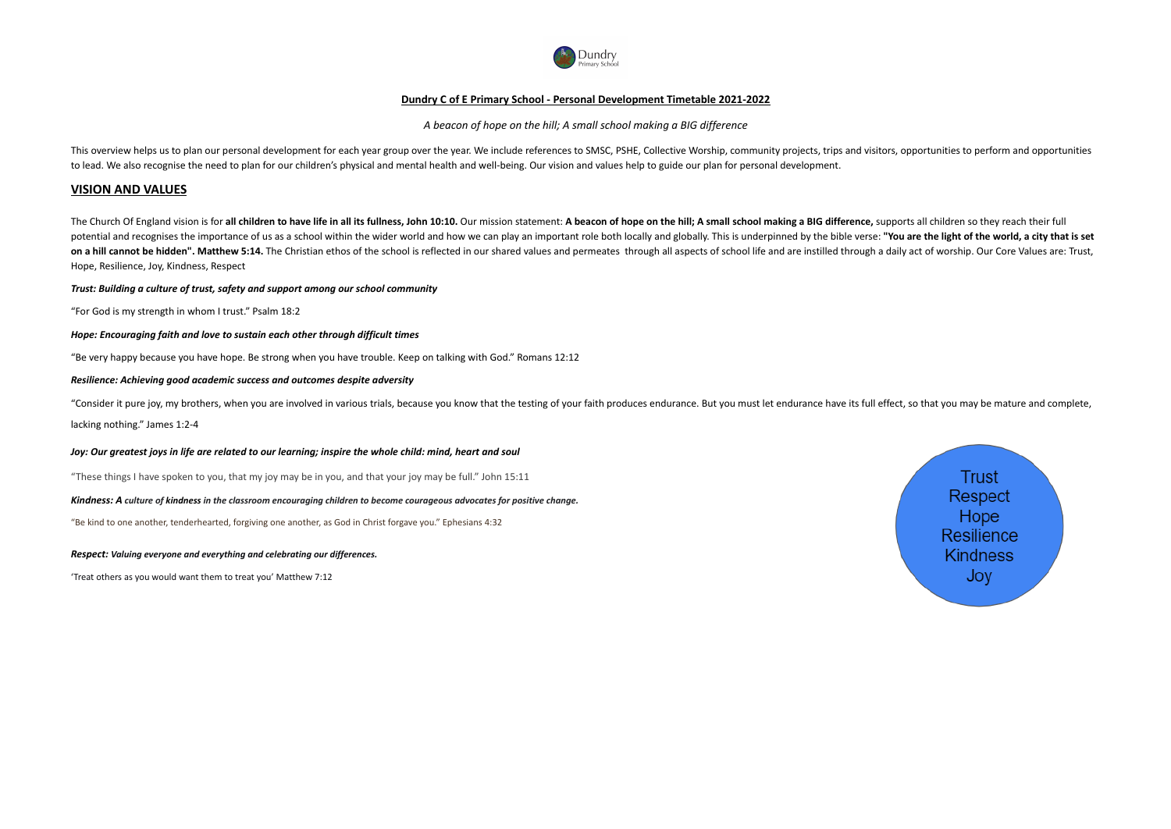

#### *A beacon of hope on the hill; A small school making a BIG difference*

This overview helps us to plan our personal development for each year group over the year. We include references to SMSC, PSHE, Collective Worship, community projects, trips and visitors, opportunities to perform and oppor to lead. We also recognise the need to plan for our children's physical and mental health and well-being. Our vision and values help to guide our plan for personal development.

#### **VISION AND VALUES**

The Church Of England vision is for all children to have life in all its fullness, John 10:10. Our mission statement: A beacon of hope on the hill; A small school making a BIG difference, supports all children so they reac potential and recognises the importance of us as a school within the wider world and how we can play an important role both locally and globally. This is underpinned by the bible verse: "You are the light of the world, a c on a hill cannot be hidden". Matthew 5:14. The Christian ethos of the school is reflected in our shared values and permeates through all aspects of school life and are instilled through a daily act of worship. Our Core Val Hope, Resilience, Joy, Kindness, Respect

#### *Trust: Building a culture of trust, safety and support among our school community*

"For God is my strength in whom I trust." Psalm 18:2

#### *Hope: Encouraging faith and love to sustain each other through difficult times*

"Be very happy because you have hope. Be strong when you have trouble. Keep on talking with God." Romans 12:12

#### *Resilience: Achieving good academic success and outcomes despite adversity*

"Consider it pure joy, my brothers, when you are involved in various trials, because you know that the testing of your faith produces endurance. But you must let endurance have its full effect, so that you may be mature an

lacking nothing." James 1:2-4

#### Joy: Our greatest joys in life are related to our learning; inspire the whole child: mind, heart and soul

"These things I have spoken to you, that my joy may be in you, and that your joy may be full." John 15:11

#### Kindness: A culture of kindness in the classroom encouraging children to become courageous advocates for positive change.

"Be kind to one another, tenderhearted, forgiving one another, as God in Christ forgave you." Ephesians 4:32

#### *Respect: Valuing everyone and everything and celebrating our differences.*

'Treat others as you would want them to treat you' Matthew 7:12

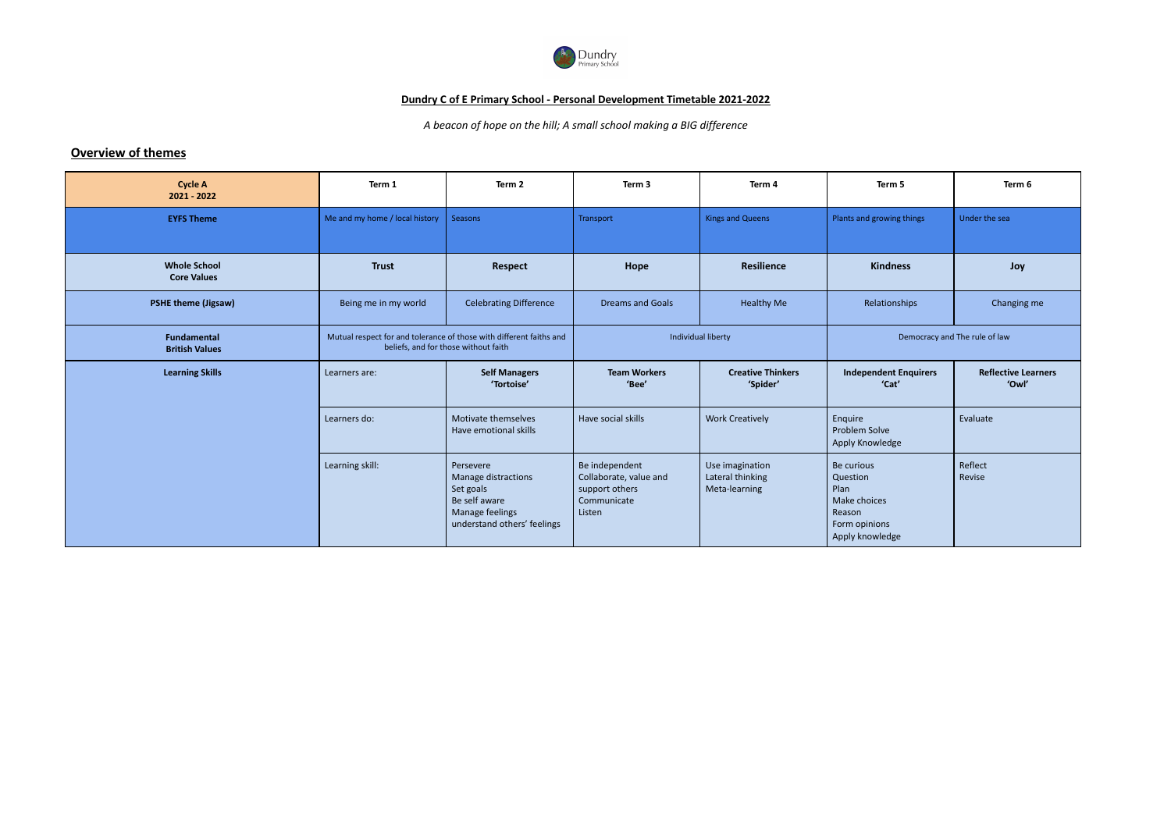

*A beacon of hope on the hill; A small school making a BIG difference*

# **Overview of themes**

| <b>Cycle A</b><br>2021 - 2022               | Term 1                                                                                                      | Term 2                                                                                                           | Term <sub>3</sub>                                                                   | Term 4                                               | Term 5                                                                                       | Term 6                              |  |
|---------------------------------------------|-------------------------------------------------------------------------------------------------------------|------------------------------------------------------------------------------------------------------------------|-------------------------------------------------------------------------------------|------------------------------------------------------|----------------------------------------------------------------------------------------------|-------------------------------------|--|
| <b>EYFS Theme</b>                           | Me and my home / local history                                                                              | Seasons                                                                                                          | <b>Transport</b>                                                                    | <b>Kings and Queens</b>                              | Plants and growing things                                                                    | Under the sea                       |  |
| <b>Whole School</b><br><b>Core Values</b>   | <b>Trust</b>                                                                                                | <b>Respect</b>                                                                                                   | Hope                                                                                | <b>Resilience</b>                                    | <b>Kindness</b>                                                                              | Joy                                 |  |
| <b>PSHE theme (Jigsaw)</b>                  | Being me in my world                                                                                        | <b>Celebrating Difference</b>                                                                                    | <b>Dreams and Goals</b>                                                             | <b>Healthy Me</b>                                    | Relationships                                                                                | Changing me                         |  |
| <b>Fundamental</b><br><b>British Values</b> | Mutual respect for and tolerance of those with different faiths and<br>beliefs, and for those without faith |                                                                                                                  |                                                                                     | Individual liberty                                   | Democracy and The rule of law                                                                |                                     |  |
| <b>Learning Skills</b>                      | Learners are:                                                                                               | <b>Self Managers</b><br>'Tortoise'                                                                               | <b>Team Workers</b><br>'Bee'                                                        | <b>Creative Thinkers</b><br>'Spider'                 | <b>Independent Enquirers</b><br>'Cat'                                                        | <b>Reflective Learners</b><br>'Owl' |  |
|                                             | Learners do:                                                                                                | Motivate themselves<br>Have emotional skills                                                                     | Have social skills                                                                  | <b>Work Creatively</b>                               | Enquire<br>Problem Solve<br>Apply Knowledge                                                  | Evaluate                            |  |
|                                             | Learning skill:                                                                                             | Persevere<br>Manage distractions<br>Set goals<br>Be self aware<br>Manage feelings<br>understand others' feelings | Be independent<br>Collaborate, value and<br>support others<br>Communicate<br>Listen | Use imagination<br>Lateral thinking<br>Meta-learning | Be curious<br>Question<br>Plan<br>Make choices<br>Reason<br>Form opinions<br>Apply knowledge | Reflect<br>Revise                   |  |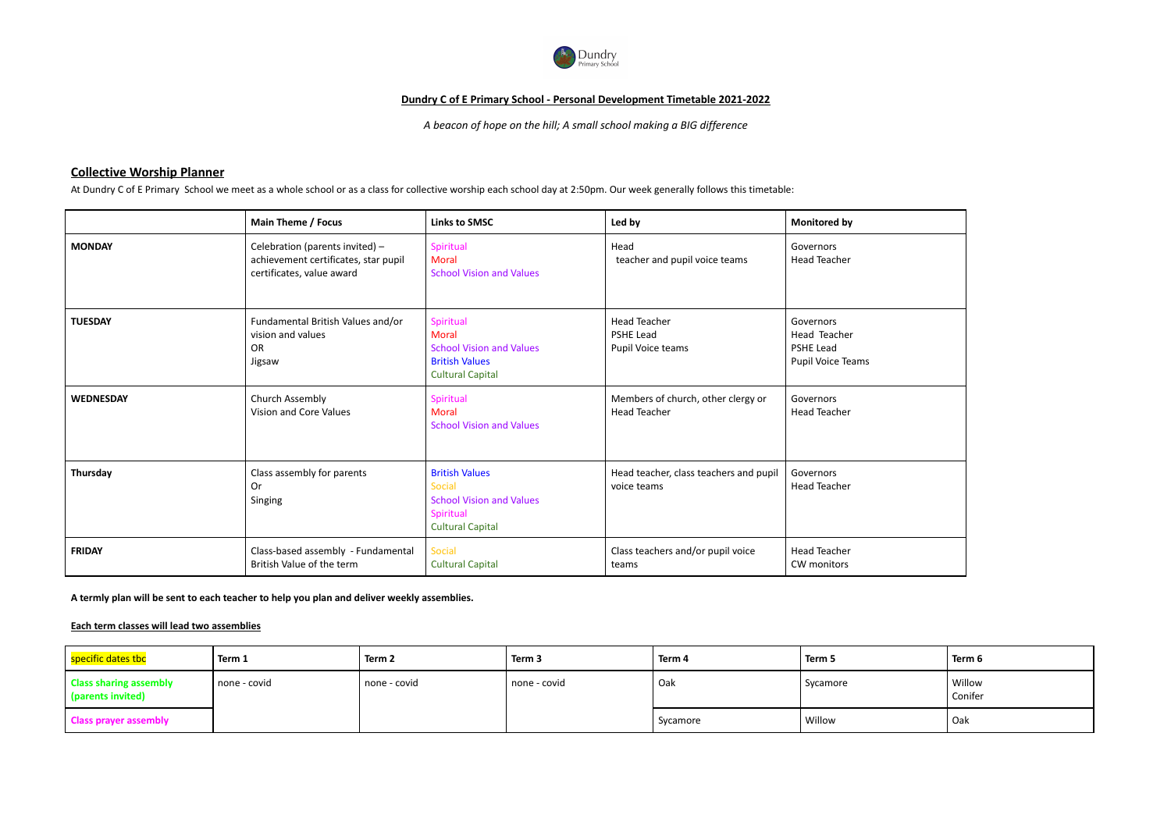

*A beacon of hope on the hill; A small school making a BIG difference*

# **Collective Worship Planner**

At Dundry C of E Primary School we meet as a whole school or as a class for collective worship each school day at 2:50pm. Our week generally follows this timetable:

|                  | Main Theme / Focus                                                                                   | <b>Links to SMSC</b>                                                                                       | Led by                                                       | <b>Monitored by</b>                                         |
|------------------|------------------------------------------------------------------------------------------------------|------------------------------------------------------------------------------------------------------------|--------------------------------------------------------------|-------------------------------------------------------------|
| <b>MONDAY</b>    | Celebration (parents invited) -<br>achievement certificates, star pupil<br>certificates, value award | Spiritual<br><b>Moral</b><br><b>School Vision and Values</b>                                               | Head<br>teacher and pupil voice teams                        | Governors<br><b>Head Teacher</b>                            |
| <b>TUESDAY</b>   | Fundamental British Values and/or<br>vision and values<br><b>OR</b><br>Jigsaw                        | Spiritual<br>Moral<br><b>School Vision and Values</b><br><b>British Values</b><br><b>Cultural Capital</b>  | <b>Head Teacher</b><br><b>PSHE Lead</b><br>Pupil Voice teams | Governors<br>Head Teacher<br>PSHE Lead<br>Pupil Voice Teams |
| <b>WEDNESDAY</b> | Church Assembly<br><b>Vision and Core Values</b>                                                     | Spiritual<br><b>Moral</b><br><b>School Vision and Values</b>                                               | Members of church, other clergy or<br><b>Head Teacher</b>    | Governors<br><b>Head Teacher</b>                            |
| Thursday         | Class assembly for parents<br>Or<br>Singing                                                          | <b>British Values</b><br>Social<br><b>School Vision and Values</b><br>Spiritual<br><b>Cultural Capital</b> | Head teacher, class teachers and pupil<br>voice teams        | Governors<br><b>Head Teacher</b>                            |
| <b>FRIDAY</b>    | Class-based assembly - Fundamental<br>British Value of the term                                      | <b>Social</b><br><b>Cultural Capital</b>                                                                   | Class teachers and/or pupil voice<br>teams                   | <b>Head Teacher</b><br>CW monitors                          |

**A termly plan will be sent to each teacher to help you plan and deliver weekly assemblies.**

#### **Each term classes will lead two assemblies**

| specific dates tbc                                 | Term 1       | Term 2       | Term 3       | Term 4   | Term 5   | Term 6            |
|----------------------------------------------------|--------------|--------------|--------------|----------|----------|-------------------|
| <b>Class sharing assembly</b><br>(parents invited) | none - covid | none - covid | none - covid | Oak      | Sycamore | Willow<br>Conifer |
| <b>Class prayer assembly</b>                       |              |              |              | Sycamore | Willow   | Oak               |

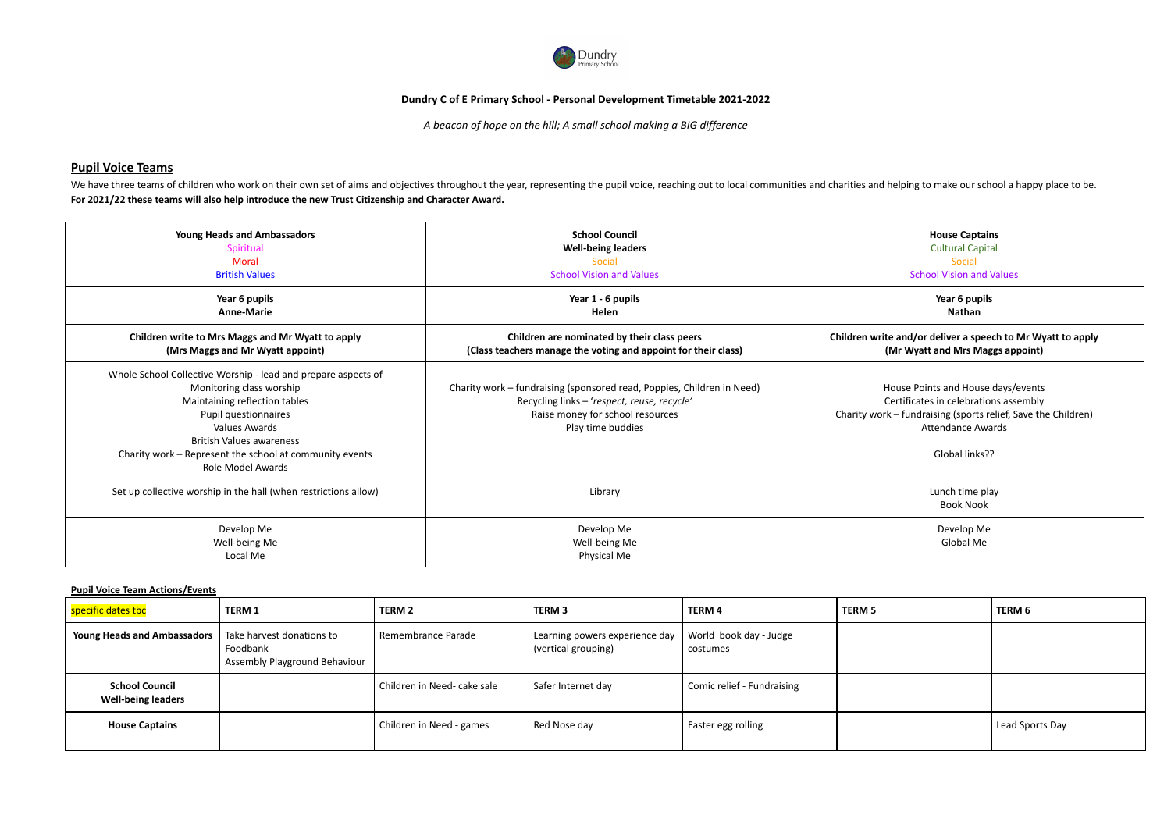

*A beacon of hope on the hill; A small school making a BIG difference*

## **Pupil Voice Teams**

We have three teams of children who work on their own set of aims and objectives throughout the year, representing the pupil voice, reaching out to local communities and charities and helping to make our school a happy pla **For 2021/22 these teams will also help introduce the new Trust Citizenship and Character Award.**

> **House Captains** Cultural Capital Social School Vision and Values

**Children write and/or deliver a speech to Mr Wyatt to apply (Mr Wyatt and Mrs Maggs appoint)**

| <b>Young Heads and Ambassadors</b>                                                                                                                                                                                                                                                                   | <b>School Council</b>                                                                                                                                                          | <b>House Captains</b>                                                                                                                             |
|------------------------------------------------------------------------------------------------------------------------------------------------------------------------------------------------------------------------------------------------------------------------------------------------------|--------------------------------------------------------------------------------------------------------------------------------------------------------------------------------|---------------------------------------------------------------------------------------------------------------------------------------------------|
| Spiritual                                                                                                                                                                                                                                                                                            | <b>Well-being leaders</b>                                                                                                                                                      | <b>Cultural Capital</b>                                                                                                                           |
| Moral                                                                                                                                                                                                                                                                                                | Social                                                                                                                                                                         | Social                                                                                                                                            |
| <b>British Values</b>                                                                                                                                                                                                                                                                                | <b>School Vision and Values</b>                                                                                                                                                | <b>School Vision and Va</b>                                                                                                                       |
| Year 6 pupils                                                                                                                                                                                                                                                                                        | Year 1 - 6 pupils                                                                                                                                                              | Year 6 pupils                                                                                                                                     |
| <b>Anne-Marie</b>                                                                                                                                                                                                                                                                                    | Helen                                                                                                                                                                          | <b>Nathan</b>                                                                                                                                     |
| Children write to Mrs Maggs and Mr Wyatt to apply                                                                                                                                                                                                                                                    | Children are nominated by their class peers                                                                                                                                    | Children write and/or deliver a speech                                                                                                            |
| (Mrs Maggs and Mr Wyatt appoint)                                                                                                                                                                                                                                                                     | (Class teachers manage the voting and appoint for their class)                                                                                                                 | (Mr Wyatt and Mrs Maggs                                                                                                                           |
| Whole School Collective Worship - lead and prepare aspects of<br>Monitoring class worship<br>Maintaining reflection tables<br>Pupil questionnaires<br><b>Values Awards</b><br><b>British Values awareness</b><br>Charity work - Represent the school at community events<br><b>Role Model Awards</b> | Charity work - fundraising (sponsored read, Poppies, Children in Need)<br>Recycling links - 'respect, reuse, recycle'<br>Raise money for school resources<br>Play time buddies | House Points and House da<br>Certificates in celebrations<br>Charity work - fundraising (sports reli<br><b>Attendance Award</b><br>Global links?? |
| Set up collective worship in the hall (when restrictions allow)                                                                                                                                                                                                                                      | Library                                                                                                                                                                        | Lunch time play<br><b>Book Nook</b>                                                                                                               |
| Develop Me<br>Well-being Me<br>Local Me                                                                                                                                                                                                                                                              | Develop Me<br>Well-being Me<br>Physical Me                                                                                                                                     | Develop Me<br>Global Me                                                                                                                           |

House Points and House days/events Certificates in celebrations assembly ork – fundraising (sports relief, Save the Children) Attendance Awards

#### **Pupil Voice Team Actions/Events**

| specific dates tbc                                 | <b>TERM 1</b>                                                                 | <b>TERM 2</b>               | <b>TERM 3</b>                                         | <b>TERM 4</b>                      | TERM 5 | <b>TERM 6</b>   |
|----------------------------------------------------|-------------------------------------------------------------------------------|-----------------------------|-------------------------------------------------------|------------------------------------|--------|-----------------|
| <b>Young Heads and Ambassadors</b>                 | Take harvest donations to<br>Foodbank<br><b>Assembly Playground Behaviour</b> | Remembrance Parade          | Learning powers experience day<br>(vertical grouping) | World book day - Judge<br>costumes |        |                 |
| <b>School Council</b><br><b>Well-being leaders</b> |                                                                               | Children in Need- cake sale | Safer Internet day                                    | Comic relief - Fundraising         |        |                 |
| <b>House Captains</b>                              |                                                                               | Children in Need - games    | Red Nose day                                          | Easter egg rolling                 |        | Lead Sports Day |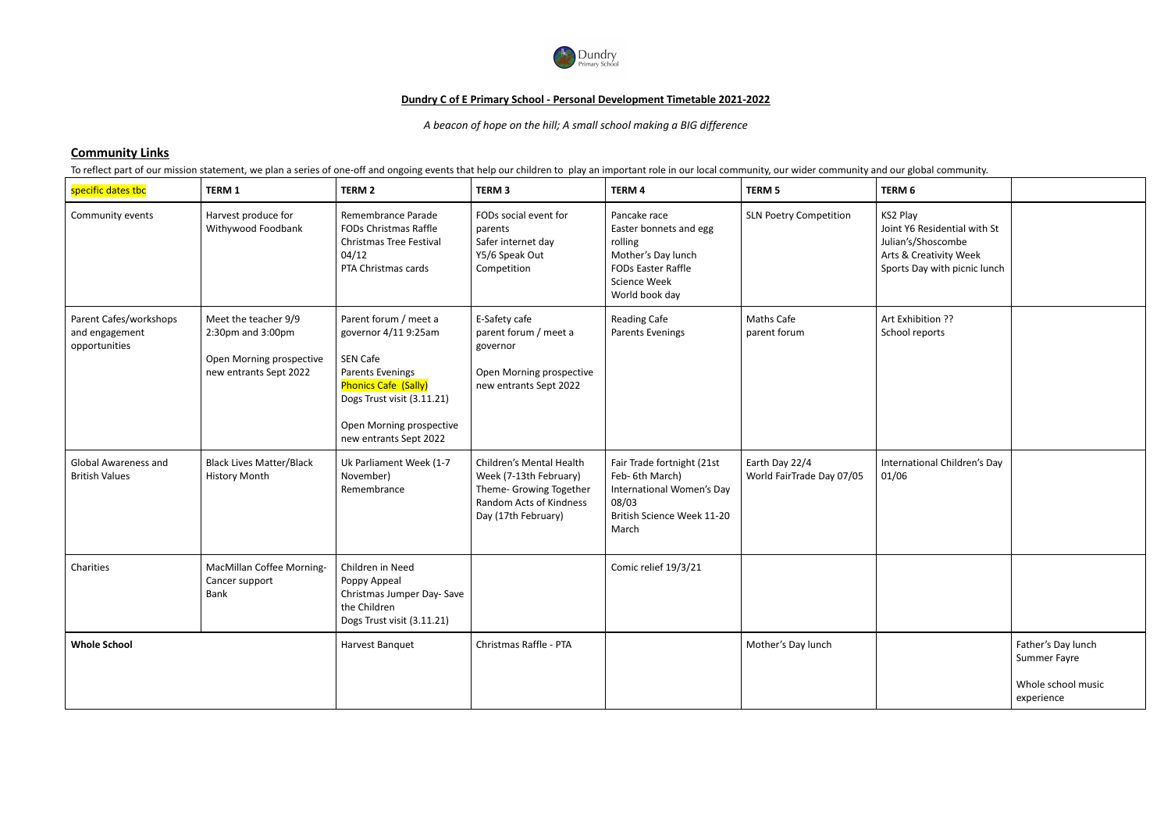

*A beacon of hope on the hill; A small school making a BIG difference*

# **Community Links**

To reflect part of our mission statement, we plan a series of one-off and ongoing events that help our children to play an important role in our local community, our wider community and our global community.

| specific dates tbc                                        | <b>TERM 1</b>                                                                                         | <b>TERM 2</b>                                                                                                                                                                                    | TERM <sub>3</sub>                                                                                                               | TERM 4                                                                                                                                        | <b>TERM 5</b>                               | TERM <sub>6</sub>                                                                                                        |                                                                      |
|-----------------------------------------------------------|-------------------------------------------------------------------------------------------------------|--------------------------------------------------------------------------------------------------------------------------------------------------------------------------------------------------|---------------------------------------------------------------------------------------------------------------------------------|-----------------------------------------------------------------------------------------------------------------------------------------------|---------------------------------------------|--------------------------------------------------------------------------------------------------------------------------|----------------------------------------------------------------------|
| Community events                                          | Harvest produce for<br>Withywood Foodbank                                                             | Remembrance Parade<br><b>FODs Christmas Raffle</b><br><b>Christmas Tree Festival</b><br>04/12<br>PTA Christmas cards                                                                             | FODs social event for<br>parents<br>Safer internet day<br>Y5/6 Speak Out<br>Competition                                         | Pancake race<br>Easter bonnets and egg<br>rolling<br>Mother's Day lunch<br><b>FODs Easter Raffle</b><br><b>Science Week</b><br>World book day | <b>SLN Poetry Competition</b>               | KS2 Play<br>Joint Y6 Residential with St<br>Julian's/Shoscombe<br>Arts & Creativity Week<br>Sports Day with picnic lunch |                                                                      |
| Parent Cafes/workshops<br>and engagement<br>opportunities | Meet the teacher 9/9<br>$2:30$ pm and $3:00$ pm<br>Open Morning prospective<br>new entrants Sept 2022 | Parent forum / meet a<br>governor 4/11 9:25am<br>SEN Cafe<br>Parents Evenings<br><b>Phonics Cafe (Sally)</b><br>Dogs Trust visit (3.11.21)<br>Open Morning prospective<br>new entrants Sept 2022 | E-Safety cafe<br>parent forum / meet a<br>governor<br>Open Morning prospective<br>new entrants Sept 2022                        | <b>Reading Cafe</b><br><b>Parents Evenings</b>                                                                                                | <b>Maths Cafe</b><br>parent forum           | Art Exhibition ??<br>School reports                                                                                      |                                                                      |
| <b>Global Awareness and</b><br><b>British Values</b>      | <b>Black Lives Matter/Black</b><br><b>History Month</b>                                               | Uk Parliament Week (1-7<br>November)<br>Remembrance                                                                                                                                              | Children's Mental Health<br>Week (7-13th February)<br>Theme- Growing Together<br>Random Acts of Kindness<br>Day (17th February) | Fair Trade fortnight (21st<br>Feb- 6th March)<br>International Women's Day<br>08/03<br>British Science Week 11-20<br>March                    | Earth Day 22/4<br>World FairTrade Day 07/05 | International Children's Day<br>01/06                                                                                    |                                                                      |
| Charities                                                 | MacMillan Coffee Morning-<br>Cancer support<br>Bank                                                   | Children in Need<br>Poppy Appeal<br>Christmas Jumper Day- Save<br>the Children<br>Dogs Trust visit (3.11.21)                                                                                     |                                                                                                                                 | Comic relief 19/3/21                                                                                                                          |                                             |                                                                                                                          |                                                                      |
| <b>Whole School</b>                                       |                                                                                                       | Harvest Banquet                                                                                                                                                                                  | Christmas Raffle - PTA                                                                                                          |                                                                                                                                               | Mother's Day lunch                          |                                                                                                                          | Father's Day lunch<br>Summer Fayre<br>Whole school mus<br>experience |

| TERM <sub>6</sub>                                                                                                        |                                                                        |
|--------------------------------------------------------------------------------------------------------------------------|------------------------------------------------------------------------|
| KS2 Play<br>Joint Y6 Residential with St<br>Julian's/Shoscombe<br>Arts & Creativity Week<br>Sports Day with picnic lunch |                                                                        |
| Art Exhibition ??<br>School reports                                                                                      |                                                                        |
| International Children's Day<br>01/06                                                                                    |                                                                        |
|                                                                                                                          |                                                                        |
|                                                                                                                          | Father's Day lunch<br>Summer Fayre<br>Whole school music<br>experience |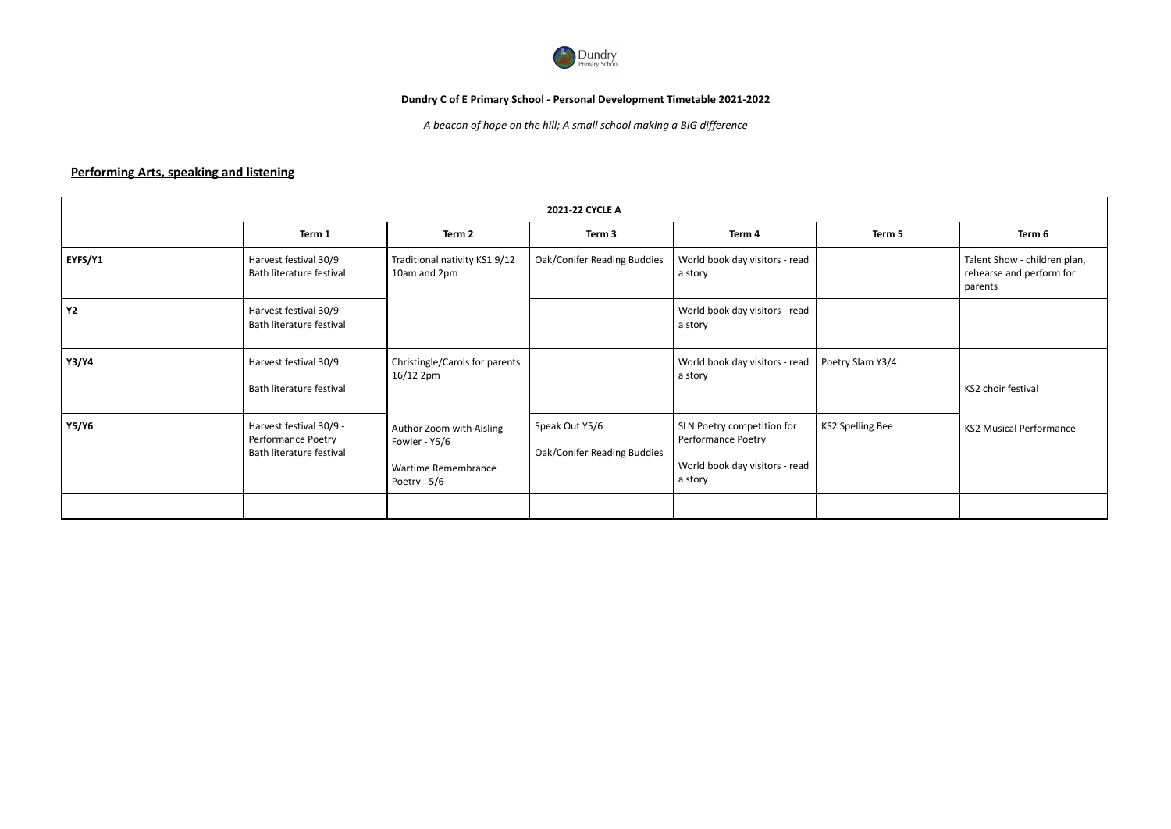

*A beacon of hope on the hill; A small school making a BIG difference*

# **Performing Arts, speaking and listening**

| 2021-22 CYCLE A |                                                                           |                                                                                  |                                                      |                                                                                               |                         |                                                                     |  |  |
|-----------------|---------------------------------------------------------------------------|----------------------------------------------------------------------------------|------------------------------------------------------|-----------------------------------------------------------------------------------------------|-------------------------|---------------------------------------------------------------------|--|--|
|                 | Term 1                                                                    | Term 2                                                                           | Term 3                                               | Term 4                                                                                        | Term 5                  | Term 6                                                              |  |  |
| EYFS/Y1         | Harvest festival 30/9<br>Bath literature festival                         | Traditional nativity KS1 9/12<br>10am and 2pm                                    | Oak/Conifer Reading Buddies                          | World book day visitors - read<br>a story                                                     |                         | Talent Show - children plan,<br>rehearse and perform for<br>parents |  |  |
| <b>Y2</b>       | Harvest festival 30/9<br>Bath literature festival                         |                                                                                  |                                                      | World book day visitors - read<br>a story                                                     |                         |                                                                     |  |  |
| <b>Y3/Y4</b>    | Harvest festival 30/9<br>Bath literature festival                         | Christingle/Carols for parents<br>16/12 2pm                                      |                                                      | World book day visitors - read $\vert$<br>a story                                             | Poetry Slam Y3/4        | KS2 choir festival                                                  |  |  |
| <b>Y5/Y6</b>    | Harvest festival 30/9 -<br>Performance Poetry<br>Bath literature festival | Author Zoom with Aisling<br>Fowler - Y5/6<br>Wartime Remembrance<br>Poetry - 5/6 | Speak Out Y5/6<br><b>Oak/Conifer Reading Buddies</b> | SLN Poetry competition for<br>Performance Poetry<br>World book day visitors - read<br>a story | <b>KS2 Spelling Bee</b> | <b>KS2 Musical Performance</b>                                      |  |  |
|                 |                                                                           |                                                                                  |                                                      |                                                                                               |                         |                                                                     |  |  |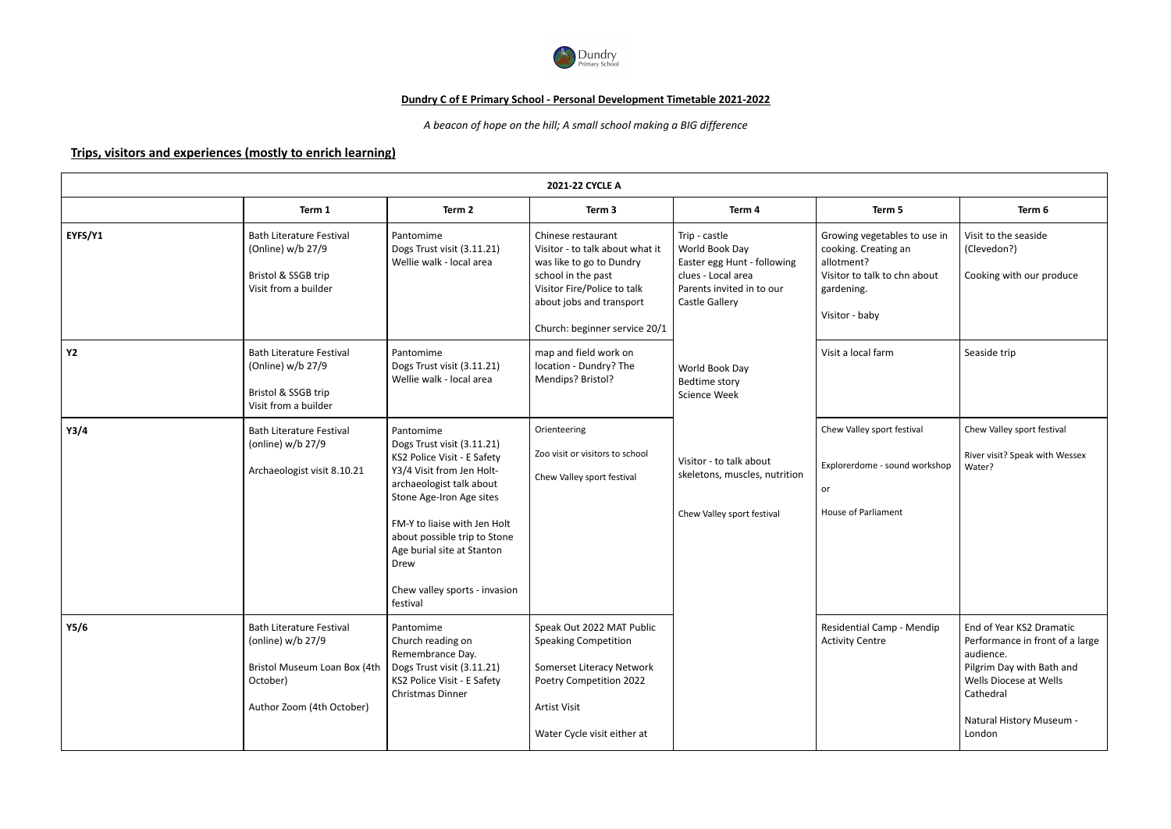

*A beacon of hope on the hill; A small school making a BIG difference*

# **Trips, visitors and experiences (mostly to enrich learning)**

|           | 2021-22 CYCLE A                                                                                                               |                                                                                                                                                                                                                                                                                                                |                                                                                                                                                                                                     |                                                                                                                                     |                                                                                                                                    |                                                                                                                                                                                    |  |  |
|-----------|-------------------------------------------------------------------------------------------------------------------------------|----------------------------------------------------------------------------------------------------------------------------------------------------------------------------------------------------------------------------------------------------------------------------------------------------------------|-----------------------------------------------------------------------------------------------------------------------------------------------------------------------------------------------------|-------------------------------------------------------------------------------------------------------------------------------------|------------------------------------------------------------------------------------------------------------------------------------|------------------------------------------------------------------------------------------------------------------------------------------------------------------------------------|--|--|
|           | Term 1                                                                                                                        | Term 2                                                                                                                                                                                                                                                                                                         | Term 3                                                                                                                                                                                              | Term 4                                                                                                                              | Term 5                                                                                                                             | Term 6                                                                                                                                                                             |  |  |
| EYFS/Y1   | <b>Bath Literature Festival</b><br>(Online) w/b 27/9<br>Bristol & SSGB trip<br>Visit from a builder                           | Pantomime<br>Dogs Trust visit (3.11.21)<br>Wellie walk - local area                                                                                                                                                                                                                                            | Chinese restaurant<br>Visitor - to talk about what it<br>was like to go to Dundry<br>school in the past<br>Visitor Fire/Police to talk<br>about jobs and transport<br>Church: beginner service 20/1 | Trip - castle<br>World Book Day<br>Easter egg Hunt - following<br>clues - Local area<br>Parents invited in to our<br>Castle Gallery | Growing vegetables to use in<br>cooking. Creating an<br>allotment?<br>Visitor to talk to chn about<br>gardening.<br>Visitor - baby | Visit to the seaside<br>(Clevedon?)<br>Cooking with our produce                                                                                                                    |  |  |
| <b>Y2</b> | <b>Bath Literature Festival</b><br>(Online) w/b 27/9<br>Bristol & SSGB trip<br>Visit from a builder                           | Pantomime<br>Dogs Trust visit (3.11.21)<br>Wellie walk - local area                                                                                                                                                                                                                                            | map and field work on<br>location - Dundry? The<br>Mendips? Bristol?                                                                                                                                | World Book Day<br>Bedtime story<br><b>Science Week</b>                                                                              | Visit a local farm                                                                                                                 | Seaside trip                                                                                                                                                                       |  |  |
| Y3/4      | <b>Bath Literature Festival</b><br>(online) w/b 27/9<br>Archaeologist visit 8.10.21                                           | Pantomime<br>Dogs Trust visit (3.11.21)<br>KS2 Police Visit - E Safety<br>Y3/4 Visit from Jen Holt-<br>archaeologist talk about<br>Stone Age-Iron Age sites<br>FM-Y to liaise with Jen Holt<br>about possible trip to Stone<br>Age burial site at Stanton<br>Drew<br>Chew valley sports - invasion<br>festival | Orienteering<br>Zoo visit or visitors to school<br>Chew Valley sport festival                                                                                                                       | Visitor - to talk about<br>skeletons, muscles, nutrition<br>Chew Valley sport festival                                              | Chew Valley sport festival<br>Explorerdome - sound workshop<br>or<br><b>House of Parliament</b>                                    | Chew Valley sport festival<br>River visit? Speak with Wessex<br>Water?                                                                                                             |  |  |
| Y5/6      | <b>Bath Literature Festival</b><br>(online) w/b 27/9<br>Bristol Museum Loan Box (4th<br>October)<br>Author Zoom (4th October) | Pantomime<br>Church reading on<br>Remembrance Day.<br>Dogs Trust visit (3.11.21)<br>KS2 Police Visit - E Safety<br><b>Christmas Dinner</b>                                                                                                                                                                     | Speak Out 2022 MAT Public<br><b>Speaking Competition</b><br>Somerset Literacy Network<br>Poetry Competition 2022<br>Artist Visit<br>Water Cycle visit either at                                     |                                                                                                                                     | Residential Camp - Mendip<br><b>Activity Centre</b>                                                                                | End of Year KS2 Dramatic<br>Performance in front of a large<br>audience.<br>Pilgrim Day with Bath and<br>Wells Diocese at Wells<br>Cathedral<br>Natural History Museum -<br>London |  |  |